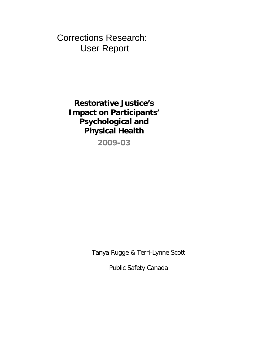Corrections Research: User Report

> **Restorative Justice's Impact on Participants' Psychological and Physical Health**

> > **2009-03**

Tanya Rugge & Terri-Lynne Scott

Public Safety Canada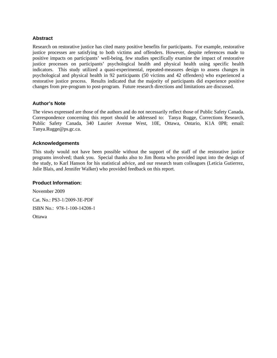# **Abstract**

Research on restorative justice has cited many positive benefits for participants. For example, restorative justice processes are satisfying to both victims and offenders. However, despite references made to positive impacts on participants' well-being, few studies specifically examine the impact of restorative justice processes on participants' psychological health and physical health using specific health indicators. This study utilized a quasi-experimental, repeated-measures design to assess changes in psychological and physical health in 92 participants (50 victims and 42 offenders) who experienced a restorative justice process. Results indicated that the majority of participants did experience positive changes from pre-program to post-program. Future research directions and limitations are discussed.

# **Author's Note**

The views expressed are those of the authors and do not necessarily reflect those of Public Safety Canada. Correspondence concerning this report should be addressed to: Tanya Rugge, Corrections Research, Public Safety Canada, 340 Laurier Avenue West, 10E, Ottawa, Ontario, K1A 0P8; email: Tanya.Rugge@ps.gc.ca.

# **Acknowledgements**

This study would not have been possible without the support of the staff of the restorative justice programs involved; thank you. Special thanks also to Jim Bonta who provided input into the design of the study, to Karl Hanson for his statistical advice, and our research team colleagues (Leticia Gutierrez, Julie Blais, and Jennifer Walker) who provided feedback on this report.

## **Product Information:**

November 2009 Cat. No.: PS3-1/2009-3E-PDF ISBN No.: 978-1-100-14208-1 **Ottawa**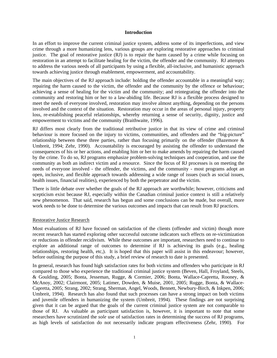#### **Introduction**

In an effort to improve the current criminal justice system, address some of its imperfections, and view crime through a more humanizing lens, various groups are exploring restorative approaches to criminal justice. The goal of restorative justice (RJ) is to repair the harm caused by a crime while focusing on restoration in an attempt to facilitate healing for the victim, the offender and the community. RJ attempts to address the various needs of all participants by using a flexible, all-inclusive, and humanistic approach towards achieving justice through enablement, empowerment, and accountability.

The main objectives of the RJ approach include: holding the offender accountable in a meaningful way; repairing the harm caused to the victim, the offender and the community by the offence or behaviour; achieving a sense of healing for the victim and the community; and reintegrating the offender into the community and restoring him or her to a law-abiding life. Because RJ is a flexible process designed to meet the needs of everyone involved, restoration may involve almost anything, depending on the persons involved and the context of the situation. Restoration may occur in the areas of personal injury, property loss, re-establishing peaceful relationships, whereby returning a sense of security, dignity, justice and empowerment to victims and the community (Braithwaite, 1996).

RJ differs most clearly from the traditional retributive justice in that its view of crime and criminal behaviour is more focused on the injury to victims, communities, and offenders and the "big-picture" relationship between these three parties, rather than focusing primarily on the offender (Bazemore & Umbreit, 1994; Zehr, 1990). Accountability is encouraged by assisting the offender to understand the consequences of his or her actions, and enabling him or her to make amends by repairing the harm caused by the crime. To do so, RJ programs emphasize problem-solving techniques and cooperation, and use the community as both an indirect victim and a resource. Since the focus of RJ processes is on meeting the needs of everyone involved - the offender, the victims, and the community - most programs adopt an open, inclusive, and flexible approach towards addressing a wide range of issues (such as social issues, health issues, financial realities), experienced by both the perpetrator and the victim.

There is little debate over whether the goals of the RJ approach are worthwhile; however, criticisms and scepticism exist because RJ, especially within the Canadian criminal justice context is still a relatively new phenomenon. That said, research has begun and some conclusions can be made, but overall, more work needs to be done to determine the various outcomes and impacts that can result from RJ practices.

## Restorative Justice Research

Most evaluations of RJ have focused on satisfaction of the clients (offender and victim) though more recent research has started exploring other successful outcome indicators such effects on re-victimization or reductions in offender recidivism. While these outcomes are important, researchers need to continue to explore an additional range of outcomes to determine if RJ is achieving its goals (e.g., healing relationships, restoring health, etc,). It is hoped that this paper will assist in this endeavour; however, before outlining the purpose of this study, a brief review of research to date is presented.

In general, research has found high satisfaction rates for both victims and offenders who participate in RJ compared to those who experience the traditional criminal justice system (Beven, Hall, Froyland, Steels, & Goulding, 2005; Bonta, Jesseman, Rugge, & Cormier, 2006; Bonta, Wallace-Capretta, Rooney, & McAnoy, 2002; Clairmont, 2005; Latimer, Dowden, & Muise, 2001, 2005; Rugge, Bonta, & Wallace-Capretta, 2005; Strang, 2002; Strang, Sherman, Angel, Woods, Bennett, Newbury-Birch, & Inkpen, 2006; Umbreit, 1994). Research has also found that such processes can have a strong impact on both victims and juvenile offenders in humanizing the system (Umbreit, 1994). These findings are not surprising given that it can be argued that the goals of the current criminal justice system are not comparable to those of RJ. As valuable as participant satisfaction is, however, it is important to note that some researchers have scrutinized the *sole* use of satisfaction rates in determining the success of RJ programs, as high levels of satisfaction do not necessarily indicate program effectiveness (Zehr, 1990). For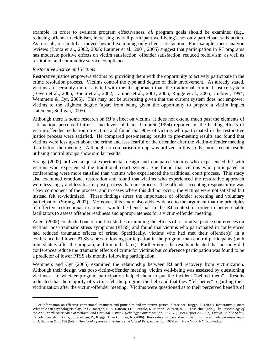example, in order to evaluate program effectiveness, *all* program goals should be examined (e.g., reducing offender recidivism, increasing overall participant well-being), not only participant satisfaction. As a result, research has moved beyond examining only client satisfaction. For example, meta-analytic reviews (Bonta et al., 2002, 2006; Latimer et al., 2001, 2005) suggest that participation in RJ programs has moderate positive effects on victim satisfaction, offender satisfaction, reduced recidivism, as well as restitution and community service compliance.

#### *Restorative Justice and Victims*

 $\overline{a}$ 

Restorative justice empowers victims by providing them with the opportunity to actively participate in the crime resolution process. Victims control the type and degree of their involvement. As already stated, victims are certainly more satisfied with the RJ approach than the traditional criminal justice system (Beven et al., 2005; Bonta et al., 2002; Latimer et al., 2001, 2005; Rugge et al., 2005; Umbreit, 1994; Wemmers & Cyr, 2005). This may not be surprising given that the current system does not empower victims to the slightest degree (apart from being given the opportunity to prepare a victim impact statement; Sullivan, 2005).

Although there is some research on RJ's effect on victims, it does not extend much past the elements of satisfaction, perceived fairness and levels of fear. Umbreit (1994) reported on the healing effects of victim-offender mediation on victims and found that 90% of victims who participated in the restorative justice process were satisfied. He compared post-meeting results to pre-meeting results and found that victims were less upset about the crime and less fearful of the offender after the victim-offender meeting than before the meeting. Although no comparison group was utilized in this study, more recent results utilizing control groups show similar results.

Strang (2002) utilized a quasi-experimental design and compared victims who experienced RJ with victims who experienced the traditional court system. She found that victims who participated in conferencing were more satisfied than victims who experienced the traditional court process. This study also examined emotional restoration and found that victims who experienced the restorative approach were less angry and less fearful post-process than pre-process. The offender accepting responsibility was a key component of the process, and in cases where this did not occur, the victims were not satisfied but instead felt re-victimized. These findings stress the importance of offender screening and voluntary participation (Strang, 2002). Moreover, this study also adds evidence to the argument that the principles of effective correctional treatment<sup>1</sup> would be beneficial in the RJ context in order to better enable facilitators to assess offender readiness and appropriateness for a victim-offender meeting.

Angel (2005) conducted one of the first studies examining the effects of restorative justice conferences on victims' post-traumatic stress symptoms (PTSS) and found that victims who participated in conferences had reduced traumatic effects of crime. Specifically, victims who had met their offender(s) in a conference had lower PTSS scores following participation in the program than control participants (both immediately after the program, and 6 months later). Furthermore, the results indicated that not only did conferences reduce the traumatic effects of crime for victims but conference participation was found to be a predictor of lower PTSS six months following participation.

Wemmers and Cyr (2005) examined the relationship between RJ and recovery from victimization. Although their design was post-victim-offender meeting, victim well-being was assessed by questioning victims as to whether program participation helped them to put the incident "behind them". Results indicated that the majority of victims felt the program did help and that they "felt better" regarding their victimization after the victim-offender meeting. Victims were questioned as to their perceived benefits of

<sup>&</sup>lt;sup>1</sup> For information on effective correctional treatment and principles and restorative justice, please see: Rugge, T. (2008). Restorative justice: What role can psychologists play? In G. Bourgon, R. K. Hanson, J.D., Pozzulo, K. Morton-Bourgon, & C. Tanasichuk (Eds.), *The Proceedings of the 2007 North American Correctional and Criminal Justice Psychology Conference* (pp. 175-178; User Report 2008-02). Ottawa: Public Safety Canada. See also: Bonta, J., Jesseman, R., Rugge, T., & Cormier, R. (2006). Restorative justice and recidivism: Promises made, promises kept? In D. Sullivan & L. Tift (Eds.), *Handbook of Restorative Justice: A Global Perspective* (pp. 108-120). New York, NY: Routledge.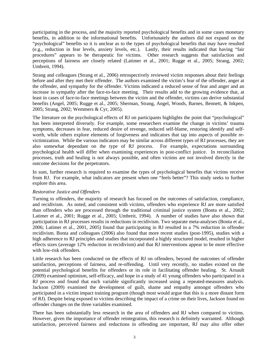participating in the process, and the majority reported psychological benefits and in some cases monetary benefits, in addition to the informational benefits. Unfortunately the authors did not expand on the "psychological" benefits so it is unclear as to the types of psychological benefits that may have resulted (e.g., reduction in fear levels, anxiety levels, etc.). Lastly, their results indicated that having "fair procedures" appears to be therapeutic for victims. Other research suggests that satisfaction and perceptions of fairness are closely related (Latimer et al., 2001; Rugge et al., 2005; Strang, 2002; Umbreit, 1994).

Strang and colleagues (Strang et al., 2006) retrospectively reviewed victim responses about their feelings before and after they met their offender. The authors examined the victim's fear of the offender, anger at the offender, and sympathy for the offender. Victims indicated a reduced sense of fear and anger and an increase in sympathy after the face-to-face meeting. Their results add to the growing evidence that, at least in cases of face-to-face meetings between the victim and the offender, victims can derive substantial benefits (Angel, 2005; Rugge et al., 2005; Sherman, Strang, Angel, Woods, Barnes, Bennett, & Inkpen, 2005; Strang, 2002; Wemmers & Cyr, 2005).

The literature on the psychological effects of RJ on participants highlights the point that "psychological" has been interpreted diversely. For example, some researchers examine the change in victims' trauma symptoms, decreases in fear, reduced desire of revenge, reduced self-blame, restoring identify and selfworth, while others explore elements of forgiveness and indicators that tap into aspects of possible revictimization. While the various indicators may be similar across different types of RJ processes, they are also somewhat dependant on the type of RJ process. For example, expectations surrounding psychological health will differ when examining experiences in post-conflict justice. In reconciliation processes, truth and healing is not always possible, and often victims are not involved directly in the outcome decisions for the perpetrators.

In sum, further research is required to examine the types of psychological benefits that victims receive from RJ. For example, what indicators are present when one "feels better"? This study seeks to further explore this area.

## *Restorative Justice and Offenders*

Turning to offenders, the majority of research has focused on the outcomes of satisfaction, compliance, and recidivism. As noted, and consistent with victims, offenders who experience RJ are more satisfied than offenders who are processed through the traditional criminal justice system (Bonta et al., 2002; Latimer et al., 2001; Rugge et al., 2005; Umbreit, 1994). A number of studies have also shown that participation in RJ processes results in reductions in recidivism. Two separate meta-analyses (Bonta et al., 2006; Latimer et al., 2001, 2005) found that participating in RJ resulted in a 7% reduction in offender recidivism. Bonta and colleagues (2006) also found that more recent studies (post-1995), studies with a high adherence to RJ principles and studies that incorporated a highly structured model, resulted in higher effects sizes (average 12% reduction in recidivism) and that RJ interventions appear to be more effective with low-risk offenders.

Little research has been conducted on the effects of RJ on offenders, beyond the outcomes of offender satisfaction, perceptions of fairness, and re-offending. Until very recently, no studies existed on the potential psychological benefits for offenders or its role in facilitating offender healing. St. Arnault (2009) examined optimism, self-efficacy, and hope in a study of 41 young offenders who participated in a RJ process and found that each variable significantly increased using a repeated-measures analysis. Jackson (2009) examined the development of guilt, shame and empathy amongst offenders who participated in a victim impact training program (though most would argue that this is a more distant form of RJ). Despite being exposed to victims describing the impact of a crime on their lives, Jackson found no offender changes on the three variables examined.

There has been substantially less research in the area of offenders and RJ when compared to victims. However, given the importance of offender reintegration, this research is definitely warranted. Although satisfaction, perceived fairness and reductions in offending are important, RJ may also offer other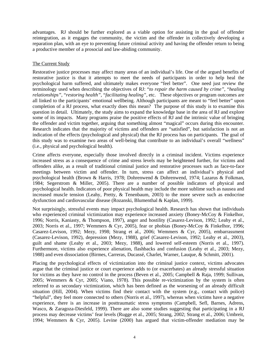advantages. RJ should be further explored as a viable option for assisting in the goal of offender reintegration, as it engages the community, the victim and the offender in collectively developing a reparation plan, with an eye to preventing future criminal activity and having the offender return to being a productive member of a prosocial and law-abiding community.

## The Current Study

Restorative justice processes may affect many areas of an individual's life. One of the argued benefits of restorative justice is that it attempts to meet the needs of participants in order to help heal the psychological harm suffered, and ultimately makes everyone "feel better". One need just review the terminology used when describing the objectives of RJ: "*to repair the harm caused by crime"*, "*healing relationships"*, "*restoring health"*, "*facilitating healing"*, etc. These objectives or program outcomes are all linked to the participants' emotional wellbeing. Although participants are meant to "feel better" upon completion of a RJ process, what exactly does this mean? The purpose of this study is to examine this question in detail. Ultimately, the study aims to expand the knowledge base in the area of RJ and explore some of its impacts. Many programs praise the positive effects of RJ and the intrinsic value of bringing the offender and victim together, arguing that something almost "magical" occurs during this encounter. Research indicates that the majority of victims and offenders are "satisfied", but satisfaction is not an indication of the effects (psychological and physical) that the RJ process has on participants. The goal of this study was to examine two areas of well-being that contribute to an individual's overall "wellness" (i.e., physical and psychological health).

Crime affects everyone, especially those involved directly in a criminal incident. Victims experience increased stress as a consequence of crime and stress levels may be heightened further, for victims and offenders alike, as a result of traditional criminal justice and restorative processes such as face-to-face meetings between victim and offender. In turn, stress can affect an individual's physical and psychological health (Brown & Harris, 1978; Dohrenwend & Dohrenwend, 1974; Lazarus & Folkman, 1984; Segerstrom & Miller, 2005). There are a number of possible indicators of physical and psychological health. Indicators of poor physical health may include the more sublime such as nausea and increased muscle tension (Leahy, Pretty, & Tenenbaum, 2003) to the more severe such as endocrine dysfunction and cardiovascular disease (Rozanski, Blumenthal & Kaplan, 1999).

Not surprisingly, stressful events may impact psychological health. Research has shown that individuals who experienced criminal victimization may experience increased anxiety (Boney-McCoy & Finkelhor, 1996; Norris, Kaniasty, & Thompson, 1997), anger and hostility (Casarez-Levison, 1992; Leahy et al., 2003; Norris et al., 1997; Wemmers & Cyr, 2005), fear or phobias (Boney-McCoy & Finkelhor, 1996; Casarez-Levison, 1992; Mezy, 1998; Strang et al., 2006; Wemmers & Cyr, 2005), embarrassment (Casarez-Levison, 1992), depression (Mezy, 1988), grief (Casarez-Levison, 1992; Leahy et al., 2003), guilt and shame (Leahy et al., 2003; Mezy, 1988), and lowered self-esteem (Norris et al., 1997). Furthermore, victims also experience alienation, flashbacks and confusion (Leahy et al., 2003; Mezy, 1988) and even dissociation (Birmes, Carreras, Ducassé, Charlet, Warner, Lauque, & Schmitt, 2001).

Placing the psychological effects of victimization into the criminal justice context, victims advocates argue that the criminal justice or court experience adds to (or exacerbates) an already stressful situation for victims as they have no control in the process (Beven et al., 2005; Campbell & Raja, 1999; Sullivan, 2005; Wemmers & Cyr, 2005; Viano, 1978). This possible re-victimization by the system is often referred to as secondary victimization, which has been defined as the worsening of an already difficult situation (Hill, 2004). When victims find their contact with the system (e.g., contact with police) "helpful", they feel more connected to others (Norris et al., 1997), whereas when victims have a negative experience, there is an increase in posttraumatic stress symptoms (Campbell, Sefl, Barnes, Adrens, Wasco, & Zaragoza-Diesfeld, 1999). There are also some studies suggesting that participating in a RJ process may decrease victims' fear levels (Rugge et al., 2005; Strang, 2002; Strang et al., 2006; Umbreit, 1994; Wemmers & Cyr, 2005). Levine (2000) has argued that victim-offender mediation may be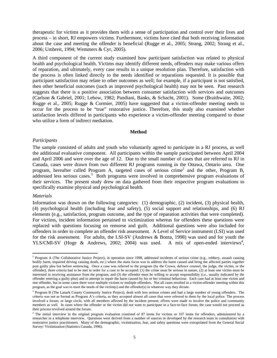therapeutic for victims as it provides them with a sense of participation and control over their lives and process – in short, RJ empowers victims. Furthermore, victims have cited that both receiving information about the case and meeting the offender is beneficial (Rugge et al., 2005; Strang, 2002; Strang et al., 2006; Umbreit, 1994; Wemmers & Cyr, 2005).

A third component of the current study examined how participant satisfaction was related to physical health and psychological health. Victims may identify different needs, offenders may make various offers of reparation, and ultimately, every case results in a unique resolution plan. Therefore, satisfaction with the process is often linked directly to the needs identified or reparations requested. It is possible that participant satisfaction may relate to other outcomes as well; for example, if a participant is not satisfied, then other beneficial outcomes (such as improved psychological health) may not be seen. Past research suggests that there is a positive association between consumer satisfaction with services and outcomes (Carlson & Gabriel, 2001; Lebow, 1982; Pandiani, Banks, & Schacht, 2001). Some (Braithwaite, 2002; Rugge et al., 2005; Rugge & Cormier, 2005) have suggested that a victim-offender meeting needs to occur for the process to be "true" restorative justice. Therefore, this study also examined whether satisfaction levels differed in participants who experience a victim-offender meeting compared to those who utilize a form of indirect mediation.

#### **Method**

#### *Participants*

The sample consisted of adults and youth who voluntarily agreed to participate in a RJ process, as well the additional evaluative component. All participants within the sample participated between April 2004 and April 2006 and were over the age of 12. Due to the small number of cases that are referred to RJ in Canada, cases were drawn from two different RJ programs running in the Ottawa, Ontario area. One program, hereafter called Program A, targeted cases of serious crime<sup>2</sup> and the other, Program B, addressed less serious cases.<sup>3</sup> Both programs were involved in comprehensive program evaluations of their services. The present study drew on data gathered from their respective program evaluations to specifically examine physical and psychological health.

#### *Materials*

 $\overline{a}$ 

Information was drawn on the following categories: (1) demographic, (2) incident, (3) physical health, (4) psychological health (including fear and safety), (5) social support and relationships, and (6) RJ elements (e.g., satisfaction, program outcome, and the type of reparation activities that were completed). For victims, incident information pertained to victimization whereas for offenders these questions were replaced with questions focusing on remorse and guilt. Additional questions were also included for offenders in order to complete an offender risk assessment. A Level of Service instrument (LSI) was used for the risk assessment. For adults, the LSI-SV (Andrews & Bonta, 1998) was used and for youth the YLS/CMI-SV (Hoge & Andrews, 2002; 2004) was used. A mix of open-ended interviews<sup>4</sup>,

<sup>&</sup>lt;sup>2</sup> Program A (The Collaborative Justice Project), in operation since 1998, addressed incidents of serious crime (e.g., robbery, assault causing bodily harm, impaired driving causing death, etc.) where the main focus was to address the harm caused and bring the affected parties together post guilty plea but before sentencing. Once a case was referred to the program (by the Crown, defence counsel, the judge, the victim, or the offender), three criteria had to be met in order for a case to be accepted: (1) the crime must be serious in nature, (2) at least one victim must be interested in receiving assistance from the program, and (3) the offender must be willing to accept responsibility (i.e., usually indicated by the offender entering a guilty plea) and to attempt to repair the harm caused by his or her criminal behaviour. Each case had at least one victim and one offender, but in some cases there were multiple victims or multiple offenders. Not all cases resulted in a victim-offender meeting within this program, as the goal was to meet the needs of the victim(s) and the offender(s) in whatever way they dictate.

<sup>&</sup>lt;sup>3</sup> Program B (The Lanark County Community Justice Project), dealt with less serious crimes and had a large number of young offenders. The criteria was not as formal as Program A's criteria, as they accepted almost all cases that were referred to them by the local police. The process involved a forum, or large circle, with all members affected by the incident present; efforts were made to involve the police and community members as well. In cases where the offender or the victim did not want to participate in a face-to-face forum, the case would not proceed as their process revolved around the forum.

<sup>&</sup>lt;sup>4</sup> The initial interview in the original program evaluation consisted of 87 items for victims or 107 items for offenders, administered by a researcher in a telephone interview. Questions were derived from a number of sources or developed by the research team in consultation with restorative justice practitioners. Many of the demographic, victimization, fear, and safety questions were extrapolated from the General Social Survey: Victimization (Statistics Canada, 1996).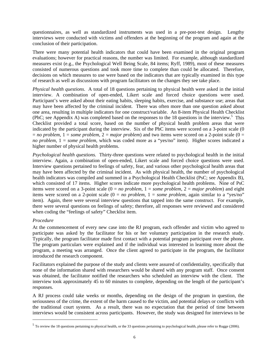questionnaires, as well as standardized instruments was used in a pre-post-test design. Lengthy interviews were conducted with victims and offenders at the beginning of the program and again at the conclusion of their participation.

There were many potential health indicators that could have been examined in the original program evaluations; however for practical reasons, the number was limited. For example, although standardized measures exist (e.g., the Psychological Well Being Scale, 84 items; Ryff, 1989), most of these measures consisted of numerous questions and took more time to complete than could be allocated. Therefore, decisions on which measures to use were based on the indicators that are typically examined in this type of research as well as discussions with program facilitators on the changes they see take place.

*Physical health questions*. A total of 18 questions pertaining to physical health were asked in the initial interview. A combination of open-ended, Likert scale and forced choice questions were used. Participant's were asked about their eating habits, sleeping habits, exercise, and substance use; areas that may have been affected by the criminal incident. There was often more than one question asked about one area, resulting in multiple indicators for one construct/variable. An 8-item Physical Health Checklist (PhC; see Appendix A) was completed based on the responses to the 18 questions in the interview.<sup>5</sup> This Checklist provided a total score, based on the number of physical health problem areas that were indicated by the participant during the interview. Six of the PhC items were scored on a 3-point scale (0  $=$  *no problem*,  $1 =$  *some problem*,  $2 =$  *major problem*) and two items were scored on a 2-point scale (0  $=$ *no problem*, 1 = *some problem,* which was coded more as a "yes/no" item). Higher scores indicated a higher number of physical health problems.

*Psychological health questions.* Thirty-three questions were related to psychological health in the initial interview. Again, a combination of open-ended, Likert scale and forced choice questions were used. Interview questions pertained to feelings of safety, fear, and various other psychological health areas that may have been affected by the criminal incident. As with physical health, the number of psychological health indicators was compiled and summed in a Psychological Health Checklist (PsC; see Appendix B), which consisted of 17 items. Higher scores indicate more psychological health problems. Nine of PsC items were scored on a 3-point scale (0 = *no problem*, 1 = *some problem*, 2 = *major problem*) and eight items were scored on a 2-point scale  $(0 = no problem, 1 = some problem, again similar to a "ves/no"$ item). Again, there were several interview questions that tapped into the same construct. For example, there were several questions on feelings of safety; therefore, all responses were reviewed and considered when coding the "feelings of safety" Checklist item.

## *Procedure*

 $\overline{a}$ 

At the commencement of every new case into the RJ program, each offender and victim who agreed to participate was asked by the facilitator for his or her voluntary participation in the research study. Typically, the program facilitator made first contact with a potential program participant over the phone. The program particulars were explained and if the individual was interested in learning more about the program, a meeting was arranged. Once the client agreed to participate in the program, the facilitator introduced the research component.

Facilitators explained the purpose of the study and clients were assured of confidentiality, specifically that none of the information shared with researchers would be shared with any program staff. Once consent was obtained, the facilitator notified the researchers who scheduled an interview with the client. The interview took approximately 45 to 60 minutes to complete, depending on the length of the participant's responses.

A RJ process could take weeks or months, depending on the design of the program in question, the seriousness of the crime, the extent of the harm caused to the victim, and potential delays or conflicts with the traditional court system. As a result, there was no expectation that the period of time between interviews would be consistent across participants. However, the study was designed for interviews to be

<sup>&</sup>lt;sup>5</sup> To review the 18 questions pertaining to physical health, or the 33 questions pertaining to psychological health, please refer to Rugge (2006).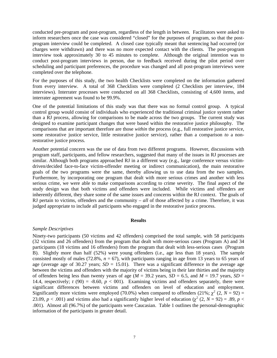conducted pre-program and post-program, regardless of the length in between. Facilitators were asked to inform researchers once the case was considered "closed" for the purposes of program, so that the postprogram interview could be completed. A closed case typically meant that sentencing had occurred (or charges were withdrawn) and there was no more expected contact with the clients. The post-program interview took approximately 30 to 45 minutes to complete. Although the original intention was to conduct post-program interviews in person, due to feedback received during the pilot period over scheduling and participant preferences, the procedure was changed and all post-program interviews were completed over the telephone.

For the purposes of this study, the two health Checklists were completed on the information gathered from every interview. A total of 368 Checklists were completed (2 Checklists per interview, 184 interviews). Interrater processes were conducted on all 368 Checklists, consisting of 4,600 items, and interrater agreement was found to be 99.9%.

One of the potential limitations of this study was that there was no formal control group. A typical control group would consist of individuals who experienced the traditional criminal justice system rather than a RJ process, allowing for comparisons to be made across the two groups. The current study was designed to examine participant changes that were based within the restorative justice philosophy. The comparisons that are important therefore are those *within* the process (e.g., full restorative justice service, some restorative justice service, little restorative justice service), rather than a comparison *to* a nonrestorative justice process.

Another potential concern was the use of data from two different programs. However, discussions with program staff, participants, and fellow researchers, suggested that many of the issues in RJ processes are similar. Although both programs approached RJ in a different way (e.g., large conference versus victimdriven/decided face-to-face victim-offender meeting or indirect communication), the main restorative goals of the two programs were the same, thereby allowing us to use data from the two samples. Furthermore, by incorporating one program that dealt with more serious crimes and another with less serious crime, we were able to make comparisons according to crime severity. The final aspect of the study design was that both victims and offenders were included. While victims and offenders are inherently different, they share some of the same issues and concerns within the RJ context. The goals of RJ pertain to victims, offenders and the community – *all* of those affected by a crime. Therefore, it was judged appropriate to include all participants who engaged in the restorative justice process.

#### **Results**

#### *Sample Descriptives*

Ninety-two participants (50 victims and 42 offenders) comprised the total sample, with 58 participants (32 victims and 26 offenders) from the program that dealt with more-serious cases (Program A) and 34 participants (18 victims and 16 offenders) from the program that dealt with less-serious cases (Program B). Slightly more than half (52%) were young offenders (i.e., age less than 18 years). The sample consisted mostly of males (72.8%,  $n = 67$ ), with participants ranging in age from 13 years to 65 years of age (average age of 30.27 years;  $SD = 15.01$ ). There was a significant difference in the average age between the victims and offenders with the majority of victims being in their late thirties and the majority of offenders being less than twenty years of age ( $M = 39.2$  years,  $SD = 6.5$ , and  $M = 19.7$  years,  $SD =$ 14.4, respectively;  $t(90) = -8.60$ ,  $p < 001$ ). Examining victims and offenders separately, there were significant differences between victims and offenders on level of education and employment. Significantly more victims were employed (70.0%) when compared to offenders (21%;  $\chi^2$  (2,  $N = 92$ ) = 23.09,  $p < .001$ ) and victims also had a significantly higher level of education ( $\chi^2$  (2,  $N = 92$ ) = .89,  $p <$ .001). Almost all (96.7%) of the participants were Caucasian. Table 1 outlines the personal-demographic information of the participants in greater detail.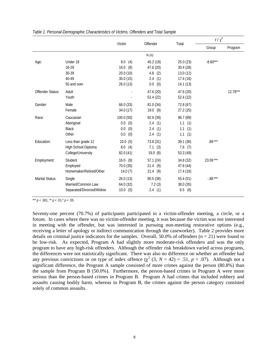|                         |                                                                 |                                                               |                                                                 |                                                             | $t/\chi^2$ |            |
|-------------------------|-----------------------------------------------------------------|---------------------------------------------------------------|-----------------------------------------------------------------|-------------------------------------------------------------|------------|------------|
|                         |                                                                 | Victim                                                        | Offender                                                        | Total                                                       | Group      | Program    |
|                         |                                                                 |                                                               | % (n)                                                           |                                                             |            |            |
| Age:                    | Under 18<br>18-29<br>30-39<br>40-49<br>50 and over              | 8.0<br>(4)<br>(8)<br>16.0<br>20.0(10)<br>30.0(15)<br>26.0(13) | 45.2 (19)<br>47.6 (20)<br>$4.8$ (2)<br>(1)<br>2.4<br>(0)<br>0.0 | 25.0(23)<br>30.4 (28)<br>13.0 (12)<br>17.4 (16)<br>14.1(13) | $-8.60***$ |            |
| <b>Offender Status:</b> | Adult<br>Youth                                                  |                                                               | 47.6 (20)<br>52.4 (22)                                          | 47.6 (20)<br>52.4 (22)                                      |            | $12.78***$ |
| Gender:                 | Male<br>Female                                                  | 66.0(33)<br>34.0(17)                                          | 81.0 (34)<br>19.0 (8)                                           | 72.8 (67)<br>27.2(25)                                       |            |            |
| Race:                   | Caucasian<br>Aboriginal<br><b>Black</b><br>Other                | 100.0 (50)<br>$0.0\,$<br>(0)<br>(0)<br>0.0<br>0.0<br>(0)      | 92.9 (39)<br>2.4(1)<br>(1)<br>$2.4\,$<br>2.4(1)                 | 96.7 (89)<br>1.1(1)<br>1.1<br>(1)<br>1.1<br>(1)             |            |            |
| Education:              | Less than grade 12<br>High School Diploma<br>College/University | 10.0(5)<br>8.0(4)<br>82.0 (41)                                | 73.8 (31)<br>7.1(3)<br>19.0 (8)                                 | 39.1 (36)<br>$7.6$ (7)<br>53.3 (49)                         | $.89***$   |            |
| Employment:             | Student<br>Employed<br>Homemaker/Retired/Other                  | $16.0$ $(8)$<br>70.0 (35)<br>14.0(7)                          | 57.1(24)<br>21.4(9)<br>21.4(9)                                  | 34.8 (32)<br>47.8 (44)<br>17.4 (16)                         | 23.09***   |            |
| Marital Status:         | Single<br>Married/Common Law<br>Separated/Divorced/Widow        | 26.0(13)<br>64.0 (32)<br>$10.0$ (5)                           | 90.5 (38)<br>7.2(3)<br>2.4(1)                                   | 55.4(51)<br>38.0 (35)<br>6.5<br>(6)                         | $-.88***$  |            |

*Table 1. Personal-Demographic Characteristics of Victims, Offenders and Total Sample* 

\*\*\*  $p < .001$ , \*\*  $p < .01$ , \* $p < .05$ .

Seventy-one percent (70.7%) of participants participated in a victim-offender meeting, a circle, or a forum. In cases where there was no victim-offender meeting, it was because the victim was not interested in meeting with the offender, but was interested in pursuing non-meeting restorative options (e.g., receiving a letter of apology or indirect communication through the caseworker). Table 2 provides more details on criminal justice indicators for the samples. Overall, 50.0% of offenders  $(n = 21)$  were found to be low-risk. As expected, Program A had slightly more moderate-risk offenders and was the only program to have any high-risk offenders. Although the offender risk breakdown varied across programs, the differences were not statistically significant. There was also no difference on whether an offender had any previous convictions or on type of index offence  $(\chi^2 (3, N = 42) = .51, p = .07)$ . Although not a significant difference, the Program A sample consisted of more crimes against the person (80.8%) than the sample from Program B (50.0%). Furthermore, the person-based crimes in Program A were more serious than the person-based crimes in Program B. Program A had crimes that included robbery and assaults causing bodily harm, whereas in Program B, the crimes against the person category consisted solely of common assaults.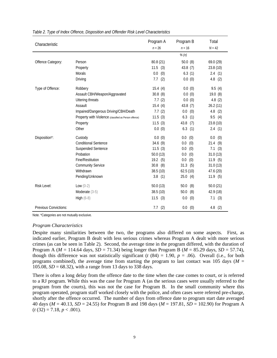| Characteristic               |                                                       | Program A<br>$n = 26$ | Program B<br>$n = 16$ | Total<br>$N = 42$ |
|------------------------------|-------------------------------------------------------|-----------------------|-----------------------|-------------------|
|                              |                                                       |                       | % (n)                 |                   |
| Offence Category:            | Person                                                | 80.8 (21)             | 50.0(8)               | 69.0 (29)         |
|                              | Property                                              | $11.5$ (3)            | 43.8 (7)              | 23.8 (10)         |
|                              | <b>Morals</b>                                         | (0)<br>0.0            | 6.3(1)                | 2.4(1)            |
|                              | Driving                                               | (2)<br>7.7            | 0.0(0)                | $4.8$ (2)         |
| Type of Offence:             | Robbery                                               | 15.4(4)               | 0.0(0)                | 9.5(4)            |
|                              | Assault CBH/Weapon/Aggravated                         | 30.8(8)               | 0.0(0)                | 19.0 (8)          |
|                              | <b>Uttering threats</b>                               | 7.7(2)                | 0.0(0)                | 4.8(2)            |
|                              | Assault                                               | 15.4(4)               | 43.8<br>(7)           | 26.2(11)          |
|                              | Impaired/Dangerous Driving/CBH/Death                  | 7.7(2)                | 0.0<br>(0)            | 4.8<br>(2)        |
|                              | Property with Violence (classified as Person offence) | 11.5(3)               | 6.3<br>(1)            | 9.5<br>(4)        |
|                              | Property                                              | 11.5(3)               | 43.8<br>(7)           | 23.8 (10)         |
|                              | Other                                                 | 0.0(0)                | 6.3<br>(1)            | 2.4(1)            |
| Disposition*:                | Custody                                               | 0.0(0)                | 0.0<br>(0)            | $0.0\,$<br>(0)    |
|                              | <b>Conditional Sentence</b>                           | 34.6 (9)              | 0.0<br>(0)            | (9)<br>21.4       |
|                              | Suspended Sentence                                    | 11.5(3)               | 0.0<br>(0)            | 7.1<br>(3)        |
|                              | Probation                                             | 50.0(13)              | (0)<br>0.0            | 31.0(13)          |
|                              | Fine/Restitution                                      | 19.2(5)               | (0)<br>0.0            | $11.9$ (5)        |
|                              | <b>Community Service</b>                              | 30.8<br>(8)           | 31.3<br>(5)           | 31.0(13)          |
|                              | Withdrawn                                             | 38.5 (10)             | 62.5(10)              | 47.6 (20)         |
|                              | Pending/Unknown                                       | 3.8(1)                | 25.0<br>(4)           | $11.9$ (5)        |
| <b>Risk Level:</b>           | Low $(0-2)$                                           | 50.0(13)              | 50.0<br>(8)           | 50.0(21)          |
|                              | Moderate (3-5)                                        | 38.5 (10)             | 50.0<br>(8)           | 42.9 (18)         |
|                              | $High (6-8)$                                          | $11.5$ (3)            | 0.0<br>(0)            | 7.1(3)            |
| <b>Previous Convictions:</b> |                                                       | 7.7<br>(2)            | 0.0<br>(0)            | 4.8<br>(2)        |

*Table 2. Type of Index Offence, Disposition and Offender Risk Level Characteristics* 

Note. \*Categories are not mutually exclusive.

#### *Program Characteristics*

Despite many similarities between the two, the programs also differed on some aspects. First, as indicated earlier, Program B dealt with less serious crimes whereas Program A dealt with more serious crimes (as can be seen in Table 2). Second, the average time in the program differed, with the duration of Program A ( $M = 114.64$  days,  $SD = 71.34$ ) being longer than Program B ( $M = 85.29$  days,  $SD = 57.74$ ), though this difference was not statistically significant ( $t$  (84) = 1.90,  $p = .06$ ). Overall (i.e., for both programs combined), the average time from starting the program to last contact was 105 days ( $M =$ 105.08,  $SD = 68.32$ ), with a range from 13 days to 338 days.

There is often a long delay from the offence date to the time when the case comes to court, or is referred to a RJ program. While this was the case for Program A (as the serious cases were usually referred to the program from the courts), this was not the case for Program B. In the small community where this program operated, program staff worked closely with the police, and often cases were referred pre-charge, shortly after the offence occurred. The number of days from offence date to program start date averaged 40 days (*M* = 40.13, *SD* = 24.55) for Program B and 198 days (*M* = 197.81, *SD* = 102.90) for Program A  $(t (32) = 7.18, p < .001)$ .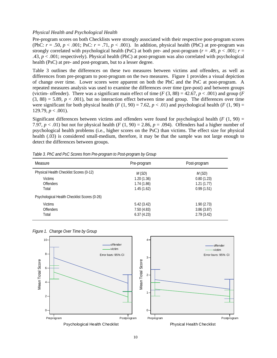#### *Physical Health and Psychological Health*

Pre-program scores on both Checklists were strongly associated with their respective post-program scores (PhC:  $r = .50$ ,  $p < .001$ ; PsC:  $r = .71$ ,  $p < .001$ ). In addition, physical health (PhC) at pre-program was strongly correlated with psychological health (PsC) at both pre- and post-program ( $r = .49$ ,  $p < .001$ ;  $r =$ .43,  $p < .001$ ; respectively). Physical health (PhC) at post-program was also correlated with psychological health (PsC) at pre- and post-program, but to a lesser degree.

Table 3 outlines the differences on these two measures between victims and offenders, as well as differences from pre-program to post-program on the two measures. Figure 1 provides a visual depiction of change over time. Lower scores were apparent on both the PhC and the PsC at post-program. A repeated measures analysis was used to examine the differences over time (pre-post) and between groups (victim- offender). There was a significant main effect of time  $(F(3, 88) = 42.67, p < .001)$  and group (*F*  $(3, 88) = 5.89$ ,  $p < .001$ ), but no interaction effect between time and group. The differences over time were significant for both physical health  $(F(1, 90) = 7.62, p < .01)$  and psychological health  $(F(1, 90) = 7.62, p < .01)$ 129.79,  $p < .001$ ).

Significant differences between victims and offenders were found for psychological health  $(F(1, 90) =$ 7.97,  $p < .01$ ) but not for physical health (*F* (1, 90) = 2.86,  $p = .094$ ). Offenders had a higher number of psychological health problems (i.e., higher scores on the PsC) than victims. The effect size for physical health (.03) is considered small-medium, therefore, it may be that the sample was not large enough to detect the differences between groups.

| Measure                                      | Pre-program | Post-program |
|----------------------------------------------|-------------|--------------|
| Physical Health Checklist Scores (0-12)      | M(SD)       | M(SD)        |
| <b>Victims</b>                               | 1.20(1.36)  | 0.80(1.23)   |
| <b>Offenders</b>                             | 1.74(1.86)  | 1.21(1.77)   |
| Total                                        | 1.45(1.62)  | 0.99(1.51)   |
| Psychological Health Checklist Scores (0-26) |             |              |
| <b>Victims</b>                               | 5.42(3.42)  | 1.90(2.73)   |
| <b>Offenders</b>                             | 7.50(4.83)  | 3.86(3.87)   |
| Total                                        | 6.37(4.23)  | 2.79(3.42)   |

*Table 3. PhC and PsC Scores from Pre-program to Post-program by Group* 



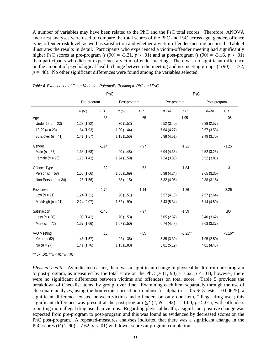A number of variables may have been related to the PhC and the PsC total scores. Therefore, ANOVA and t-test analyses were used to compare the total scores of the PhC and PsC across age, gender, offence type, offender risk level, as well as satisfaction and whether a victim-offender meeting occurred. Table 4 illustrates the results in detail. Participants who experienced a victim-offender meeting had significantly higher PsC scores at pre-program ( $t$  (90) = -3.21,  $p < .01$ ) and at post-program ( $t$  (90) = -3.16,  $p < .01$ ) than participants who did not experience a victim-offender meeting. There was no significant difference on the amount of psychological health change between the meeting and no-meeting groups  $(t(90) = -72$ ,  $p = .48$ ). No other significant differences were found among the variables selected.

|                       | PhC         |         |              | PsC     |             |           |              |           |
|-----------------------|-------------|---------|--------------|---------|-------------|-----------|--------------|-----------|
|                       | Pre-program |         | Post-program |         | Pre-program |           | Post-program |           |
|                       | M(SD)       | F/t     | M(SD)        | F/t     | M(SD)       | F/t       | M(SD)        | F/t       |
| Age                   |             | .36     |              | .65     |             | 1.95      |              | 1.05      |
| Under 18 $(n = 23)$   | 1.23(1.32)  |         | .70(1.52)    |         | 5.52(3.40)  |           | 2.39(2.57)   |           |
| 18-29 $(n = 28)$      | 1.64(1.93)  |         | 1.00(1.44)   |         | 7.64(4.27)  |           | 3.57(3.58)   |           |
| 30 & over $(n = 41)$  | 1.41(1.57)  |         | 1.15(1.56)   |         | 5.98(4.51)  |           | 2.49(3.70)   |           |
| Gender                |             | $-1.14$ |              | $-.97$  |             | $-1.21$   |              | $-1.25$   |
| Male $(n = 67)$       | 1.33(1.68)  |         | .90(1.48)    |         | 6.04(4.35)  |           | 2.52(3.25)   |           |
| Female $(n = 25)$     | 1.76(1.42)  |         | 1.24(1.59)   |         | 7.24(3.83)  |           | 3.52(3.81)   |           |
| Offence Type          |             | $-0.82$ |              | $-52$   |             | $-1.84$   |              | $-.31$    |
| Person ( $n = 58$ )   | 1.55(1.66)  |         | 1.05(1.69)   |         | 6.98(4.24)  |           | 2.65(3.36)   |           |
| Non-Person $(n = 34)$ | 1.26(1.56)  |         | .88(1.15)    |         | 5.32(4.06)  |           | 2.88(3.15)   |           |
| <b>Risk Level</b>     |             | $-1.79$ |              | $-1.14$ |             | $-1.26$   |              | $-2.26$   |
| Low $(n = 21)$        | 1.24(1.51)  |         | .90(1.51)    |         | 6.57(4.18)  |           | 2.57(2.64)   |           |
| Med/High $(n = 21)$   | 2.24(2.07)  |         | 1.52 (1.99)  |         | 8.43 (5.34) |           | 5.14(4.50)   |           |
| Satisfaction          |             | $-1.40$ |              | $-0.97$ |             | $-1.59$   |              | .90       |
| Less $(n = 20)$       | 1.00(1.41)  |         | .70(1.53)    |         | 5.05(2.87)  |           | 3.40(3.62)   |           |
| More $(n = 72)$       | 1.57(1.66)  |         | 1.07(1.50)   |         | 6.74(4.48)  |           | 2.63(3.37)   |           |
| V-O Meeting           |             | .15     |              | $-0.65$ |             | $-3.21**$ |              | $-3.16**$ |
| Yes $(n = 62)$        | 1.46(1.57)  |         | .92(1.36)    |         | 5.35(3.30)  |           | 1.95(2.50)   |           |
| No $(n = 27)$         | 1.41(1.76)  |         | 1.15(1.83)   |         | 8.81 (5.19) |           | 4.81(4.43)   |           |

*Table 4. Examination of Other Variables Potentially Relating to PhC and PsC* 

\*\*\*  $p < .001$ , \*\*  $p < .01$ , \*  $p < .05$ .

*Physical health.* As indicated earlier, there was a significant change in physical health from pre-program to post-program, as measured by the total score on the PhC  $(F (1, 90) = 7.62, p < .01)$ ; however, there were no significant differences between victims and offenders on total score. Table 5 provides the breakdown of Checklist items, by group, over time. Examining each item separately through the use of chi-square analyses, using the bonferroni correction to adjust for alpha ( $\alpha = .05 \div 8$  tests = 0.00625), a significant difference existed between victims and offenders on only one item, "illegal drug use"; this significant difference was present at the post-program  $(\chi^2 (2, N = 92) = -1.00, p < .01)$ , with offenders reporting more illegal drug use than victims. Regarding physical health, a significant positive change was expected from pre-program to post-program and this was found as evidenced by decreased scores on the PhC post-program. A repeated-measures analyses indicated that there was a significant change in the PhC scores  $(F(1, 90) = 7.62, p < .01)$  with lower scores at program completion.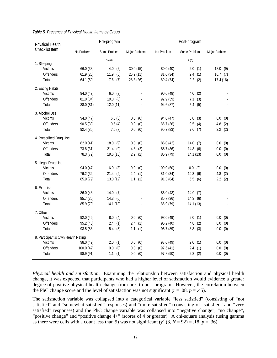| Physical Health                    |            | Pre-program  |                |            | Post-program   |                |
|------------------------------------|------------|--------------|----------------|------------|----------------|----------------|
| Checklist Item                     | No Problem | Some Problem | Major Problem  | No Problem | Some Problem   | Major Problem  |
| 1. Sleeping                        |            | % (n)        |                |            | % (n)          |                |
| <b>Victims</b>                     | 66.0 (33)  | (2)<br>4.0   | 30.0(15)       | 80.0 (40)  | 2.0<br>(1)     | 18.0<br>(9)    |
| <b>Offenders</b>                   | 61.9(26)   | (5)<br>11.9  | 26.2(11)       | 81.0 (34)  | (1)<br>2.4     | 16.7<br>(7)    |
| Total                              | 64.1 (59)  | (7)<br>7.6   | 28.3 (26)      | 80.4 (74)  | 2.2<br>(2)     | 17.4 (16)      |
| 2. Eating Habits                   |            |              |                |            |                |                |
| <b>Victims</b>                     | 94.0 (47)  | 6.0(3)       |                | 96.0(48)   | 4.0<br>(2)     |                |
| <b>Offenders</b>                   | 81.0 (34)  | $19.0$ $(8)$ |                | 92.9 (39)  | (3)<br>7.1     |                |
| Total                              | 88.0 (81)  | 12.0(11)     |                | 94.6 (87)  | (5)<br>5.4     |                |
| 3. Alcohol Use                     |            |              |                |            |                |                |
| <b>Victims</b>                     | 94.0 (47)  | 6.0(3)       | $0.0\,$<br>(0) | 94.0 (47)  | (3)<br>6.0     | 0.0<br>(0)     |
| <b>Offenders</b>                   | 90.5 (38)  | 9.5(4)       | (0)<br>$0.0\,$ | 85.7 (36)  | 9.5<br>(4)     | (2)<br>4.8     |
| Total                              | 92.4 (85)  | 7.6(7)       | (0)<br>$0.0\,$ | 90.2 (83)  | (7)<br>7.6     | (2)<br>2.2     |
| 4. Prescribed Drug Use             |            |              |                |            |                |                |
| <b>Victims</b>                     | 82.0 (41)  | 18.0(9)      | 0.0<br>(0)     | 86.0 (43)  | 14.0<br>(7)    | 0.0<br>(0)     |
| <b>Offenders</b>                   | 73.8 (31)  | 21.4(9)      | (2)<br>4.8     | 85.7 (36)  | 14.3<br>(6)    | (0)<br>0.0     |
| Total                              | 78.3 (72)  | 19.6 (18)    | (2)<br>2.2     | 85.9 (79)  | 14.1(13)       | (0)<br>$0.0\,$ |
| 5. Illegal Drug Use                |            |              |                |            |                |                |
| <b>Victims</b>                     | 94.0 (47)  | 6.0(3)       | 0.0<br>(0)     | 100.0 (50) | (0)<br>$0.0\,$ | 0.0<br>(0)     |
| <b>Offenders</b>                   | 76.2 (32)  | 21.4(9)      | (1)<br>2.4     | 81.0 (34)  | 14.3<br>(6)    | (2)<br>4.8     |
| Total                              | 85.9 (79)  | 13.0(12)     | 1.1<br>(1)     | 91.3 (84)  | 6.5<br>(6)     | 2.2<br>(2)     |
| 6. Exercise                        |            |              |                |            |                |                |
| <b>Victims</b>                     | 86.0 (43)  | $14.0$ (7)   |                | 86.0 (43)  | 14.0<br>(7)    |                |
| <b>Offenders</b>                   | 85.7 (36)  | 14.3(6)      |                | 85.7 (36)  | 14.3(6)        |                |
| Total                              | 85.9 (79)  | 14.1(13)     |                | 85.9 (79)  | 14.1 (13)      |                |
| 7. Other                           |            |              |                |            |                |                |
| <b>Victims</b>                     | 92.0 (46)  | 8.0(4)       | 0.0<br>(0)     | 98.0 (49)  | 2.0<br>(1)     | 0.0<br>(0)     |
| <b>Offenders</b>                   | 95.2 (40)  | 2.4(1)       | (1)<br>2.4     | 95.2 (40)  | $4.8\,$<br>(2) | (0)<br>0.0     |
| Total                              | 93.5 (86)  | 5.4(5)       | 1.1<br>(1)     | 96.7 (89)  | (3)<br>3.3     | 0.0<br>(0)     |
| 8. Participant's Own Health Rating |            |              |                |            |                |                |
| <b>Victims</b>                     | 98.0 (49)  | (1)<br>2.0   | (0)<br>$0.0\,$ | 98.0 (49)  | 2.0<br>(1)     | $0.0\,$<br>(0) |
| <b>Offenders</b>                   | 100.0 (42) | (0)<br>0.0   | (0)<br>0.0     | 97.6 (41)  | (1)<br>2.4     | (0)<br>0.0     |
| Total                              | 98.9 (91)  | 1.1(1)       | $0.0$ $(0)$    | 97.8 (90)  | 2.2<br>(2)     | (0)<br>0.0     |

*Table 5. Presence of Physical Health Items by Group* 

*Physical health and satisfaction*. Examining the relationship between satisfaction and physical health change, it was expected that participants who had a higher level of satisfaction would evidence a greater degree of positive physical health change from pre- to post-program. However, the correlation between the PhC change score and the level of satisfaction was not significant ( $r = .08$ ,  $p = .45$ ).

The satisfaction variable was collapsed into a categorical variable "less satisfied" (consisting of "not satisfied" and "somewhat satisfied" responses) and "more satisfied" (consisting of "satisfied" and "very satisfied" responses) and the PhC change variable was collapsed into "negative change", "no change", "positive change" and "positive change 4+" (scores of 4 or greater). A chi-square analysis (using gamma as there were cells with a count less than 5) was not significant  $(\chi^2 (3, N = 92) = .18, p = .36)$ .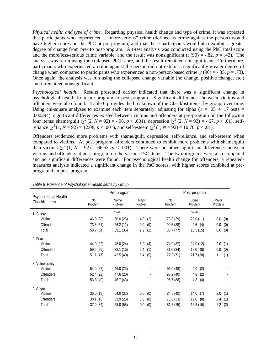*Physical health and type of crime*. Regarding physical health change and type of crime, it was expected that participants who experienced a "more-serious" crime (defined as crime against the person) would have higher scores on the PhC at pre-program, and that these participants would also exhibit a greater degree of change from pre- to post-program. A t-test analysis was conducted using the PhC total score and the more/less-serious crime variable, and the result was nonsignificant ( $t(90) = -0.82$ ,  $p = 0.42$ ). The analysis was rerun using the collapsed PhC score, and the result remained nonsignificant. Furthermore, participants who experienced a crime against the person did not exhibit a significantly greater degree of change when compared to participants who experienced a non-person-based crime  $(t(90) = -.35, p = .73)$ . Once again, the analysis was run using the collapsed change variable (no change, positive change, etc.) and it remained nonsignificant.

*Psychological health*. Results presented earlier indicated that there was a significant change in psychological health from pre-program to post-program. Significant differences between victims and offenders were also found. Table 6 provides the breakdown of the Checklist items, by group, over time. Using chi-square analyses to examine each item separately, adjusting for alpha ( $\alpha = .05 \div 17$  tests = 0.00294), significant differences existed between victims and offenders at pre-program on the following four items: shame/guilt  $(\chi^2 (2, N = 92) = -.98, p < .001)$ , depression  $(\chi^2 (2, N = 92) = -.67, p < .01)$ , selfreliance  $(y^2 (1, N-92) = 12.08$ ,  $p < .001$ ), and self-esteem  $(\chi^2 (1, N-92) = 10.70, p < .01)$ .

Offenders evidenced more problems with shame/guilt, depression, self-reliance, and self-esteem when compared to victims. At post-program, offenders continued to exhibit more problems with shame/guilt than victims  $(\chi^2 (1, N = 92) = 66.53, p < .001)$ . There were no other significant differences between victims and offenders at post-program on the various PsC items. The two programs were also compared and no significant differences were found. For psychological health change for offenders, a repeatedmeasures analysis indicated a significant change in the PsC scores, with higher scores exhibited at preprogram than post-program.

|                                        | Pre-program   |                 |                  | Post-program  |                 |                  |
|----------------------------------------|---------------|-----------------|------------------|---------------|-----------------|------------------|
| Psychological Health<br>Checklist Item | No<br>Problem | Some<br>Problem | Major<br>Problem | No<br>Problem | Some<br>Problem | Major<br>Problem |
| 1. Safety                              |               | $%$ $(n)$       |                  |               | $%$ $(n)$       |                  |
| <b>Victims</b>                         | 46.0(23)      | 50.0(25)        | 4.0<br>(2)       | 78.0 (39)     | 22.0(11)        | 0.0<br>(0)       |
| Offenders                              | 73.8 (31)     | 26.2(11)        | 0.0<br>(0)       | 90.5 (38)     | 9.5(4)          | 0.0<br>(0)       |
| Total                                  | 58.7 (54)     | 39.1 (36)       | $2.2$ (2)        | 83.7 (77)     | 16.3(15)        | (0)<br>0.0       |
| 2. Fear                                |               |                 |                  |               |                 |                  |
| <b>Victims</b>                         | 44.0 (22)     | 48.0 (24)       | 8.0<br>(4)       | 74.0 (37)     | 24.0 (12)       | 2.0<br>(1)       |
| <b>Offenders</b>                       | 59.5(25)      | 38.1 (16)       | (1)<br>2.4       | 81.0(34)      | 19.0 (8)        | (0)<br>0.0       |
| Total                                  | 51.1(47)      | 43.5 (40)       | (5)<br>5.4       | 77.2 (71)     | 21.7(20)        | (1)<br>1.1       |
| 3. Vulnerability                       |               |                 |                  |               |                 |                  |
| <b>Victims</b>                         | 54.0 (27)     | 46.0 (23)       |                  | 96.0(48)      | 4.0<br>(2)      |                  |
| Offenders                              | 52.4 (22)     | 47.6 (20)       |                  | 95.2 (40)     | 4.8<br>(2)      |                  |
| Total                                  | 53.3(49)      | 46.7 (43)       |                  | 95.7 (88)     | 4.3<br>(4)      |                  |
| 4. Anger                               |               |                 |                  |               |                 |                  |
| <b>Victims</b>                         | 36.0(18)      | 64.0 (32)       | 0.0 (0)          | 84.0 (42)     | 14.0(7)         | (1)<br>2.0       |
| Offenders                              | 38.1(16)      | 61.9(26)        | 0.0<br>(0)       | 78.6 (33)     | 19.0 (8)        | 2.4<br>(1)       |
| Total                                  | 37.0 (34)     | 63.0 (58)       | (0)<br>$0.0\,$   | 81.5(75)      | 16.3(15)        | (2)<br>2.2       |

#### *Table 6. Presence of Psychological Health Items by Group*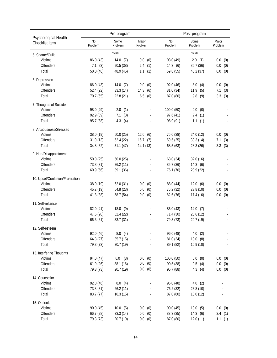|                                        | Pre-program   |                 |                          | Post-program  |                 |                          |
|----------------------------------------|---------------|-----------------|--------------------------|---------------|-----------------|--------------------------|
| Psychological Health<br>Checklist Item | No<br>Problem | Some<br>Problem | Major<br>Problem         | No<br>Problem | Some<br>Problem | Major<br>Problem         |
| 5. Shame/Guilt                         |               | % (n)           |                          |               | $%$ $(n)$       |                          |
| <b>Victims</b>                         | 86.0 (43)     | 14.0(7)         | $0.0$ $(0)$              | 98.0 (49)     | 2.0(1)          | $0.0$ $(0)$              |
| Offenders                              | 7.1(3)        | 90.5 (38)       | 2.4(1)                   | 14.3(6)       | 85.7 (36)       | 0.0<br>(0)               |
| Total                                  | 50.0(46)      | 48.9 (45)       | 1.1(1)                   | 59.8 (55)     | 40.2 (37)       | 0.0<br>(0)               |
| 6. Depression                          |               |                 |                          |               |                 |                          |
| <b>Victims</b>                         | 86.0 (43)     | 14.0(7)         | 0.0<br>(0)               | 92.0 (46)     | 8.0<br>(4)      | 0.0<br>(0)               |
| Offenders                              | 52.4(22)      | 33.3 (14)       | (6)<br>14.3              | 81.0 (34)     | 11.9<br>(5)     | (3)<br>7.1               |
| Total                                  | 70.7 (65)     | 22.8 (21)       | 6.5<br>(6)               | 87.0 (80)     | 9.8<br>(9)      | 3.3<br>(3)               |
| 7. Thoughts of Suicide                 |               |                 |                          |               |                 |                          |
| <b>Victims</b>                         | 98.0 (49)     | 2.0(1)          |                          | 100.0(50)     | $0.0$ $(0)$     |                          |
| Offenders                              | 92.9 (39)     | (3)<br>7.1      | ä,                       | 97.6 (41)     | (1)<br>2.4      |                          |
| Total                                  | 95.7 (88)     | 4.3(4)          | ÷.                       | 98.9 (91)     | 1.1<br>(1)      |                          |
|                                        |               |                 |                          |               |                 |                          |
| 8. Anxiousness/Stressed                |               |                 |                          |               |                 |                          |
| <b>Victims</b>                         | 38.0 (19)     | 50.0(25)        | $12.0$ (6)               | 76.0 (38)     | 24.0 (12)       | 0.0<br>(0)               |
| Offenders                              | 31.0(13)      | 52.4 (22)       | $16.7$ (7)               | 59.5 (25)     | 33.3(14)        | (3)<br>7.1               |
| Total                                  | 34.8 (32)     | 51.1(47)        | 14.1(13)                 | 68.5(63)      | 28.3 (26)       | 3.3<br>(3)               |
| 9. Hurt/Disappointment                 |               |                 |                          |               |                 |                          |
| <b>Victims</b>                         | 50.0(25)      | 50.0(25)        |                          | 68.0 (34)     | 32.0 (16)       |                          |
| Offenders                              | 73.8 (31)     | 26.2(11)        |                          | 85.7 (36)     | 14.3(6)         |                          |
| Total                                  | 60.9 (56)     | 39.1 (36)       |                          | 76.1 (70)     | 23.9 (22)       |                          |
| 10. Upset/Confusion/Frustration        |               |                 |                          |               |                 |                          |
| <b>Victims</b>                         | 38.0 (19)     | 62.0(31)        | 0.0 (0)                  | 88.0 (44)     | $12.0$ (6)      | 0.0<br>(0)               |
| Offenders                              | 45.2 (19)     | 54.8 (23)       | $0.0$ (0)                | 76.2 (32)     | 23.8 (10)       | 0.0<br>(0)               |
| Total                                  | 41.3 (38)     | 58.7 (54)       | $0.0$ $(0)$              | 82.6 (76)     | 17.4(16)        | 0.0<br>(0)               |
| 11. Self-reliance                      |               |                 |                          |               |                 |                          |
| <b>Victims</b>                         | 82.0 (41)     | 18.0(9)         |                          | 86.0(43)      | 14.0(7)         |                          |
| Offenders                              | 47.6 (20)     | 52.4 (22)       | $\overline{\phantom{a}}$ | 71.4 (30)     | 28.6 (12)       |                          |
| Total                                  | 66.3(61)      | 33.7 (31)       |                          | 79.3 (73)     | 20.7 (19)       |                          |
| 12. Self-esteem                        |               |                 |                          |               |                 |                          |
| Victims                                | 92.0 (46)     | 8.0(4)          |                          | 96.0 (48)     | $4.0$ (2)       | $\overline{\phantom{a}}$ |
| Offenders                              | 64.3 (27)     | 35.7(15)        |                          | 81.0 (34)     | 19.0 (8)        |                          |
| Total                                  | 79.3 (73)     | 20.7 (19)       |                          | 89.1 (82)     | 10.9 (10)       |                          |
| 13. Interfering Thoughts               |               |                 |                          |               |                 |                          |
| <b>Victims</b>                         | 94.0 (47)     | $6.0$ (3)       | $0.0$ $(0)$              | 100.0 (50)    | $0.0$ $(0)$     | $0.0$ $(0)$              |
| Offenders                              | 61.9(26)      | 38.1 (16)       | $0.0$ $(0)$              | 90.5 (38)     | 9.5(4)          | 0.0 (0)                  |
| Total                                  | 79.3 (73)     | 20.7(19)        | $0.0$ $(0)$              | 95.7 (88)     | 4.3(4)          | 0.0 (0)                  |
| 14. Counsellor                         |               |                 |                          |               |                 |                          |
| <b>Victims</b>                         | 92.0 (46)     | 8.0(4)          |                          | 96.0 (48)     | $4.0$ (2)       |                          |
| Offenders                              | 73.8 (31)     | 26.2(11)        |                          | 76.2 (32)     | 23.8 (10)       |                          |
| Total                                  | 83.7 (77)     | 16.3(15)        |                          | 87.0 (80)     | 13.0(12)        |                          |
| 15. Outlook                            |               |                 |                          |               |                 |                          |
| <b>Victims</b>                         | 90.0(45)      | 10.0 (5)        | 0.0 (0)                  | 90.0(45)      | 10.0 (5)        | $0.0$ $(0)$              |
| Offenders                              | 66.7 (28)     | 33.3 (14)       | $0.0$ $(0)$              | 83.3 (35)     | 14.3(6)         | 2.4(1)                   |
| Total                                  | 79.3 (73)     | 20.7 (19)       | $0.0$ $(0)$              | 87.0 (80)     | 12.0(11)        | 1.1(1)                   |
|                                        |               |                 |                          |               |                 |                          |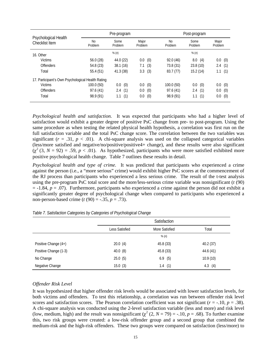|                                        | Pre-program                                       |                 |                  | Post-program              |                 |                  |
|----------------------------------------|---------------------------------------------------|-----------------|------------------|---------------------------|-----------------|------------------|
| Psychological Health<br>Checklist Item | <b>No</b><br>Problem                              | Some<br>Problem | Major<br>Problem | N <sub>0</sub><br>Problem | Some<br>Problem | Major<br>Problem |
| 16. Other                              |                                                   | % (n)           |                  |                           | $%$ $(n)$       |                  |
| <b>Victims</b>                         | 56.0(28)                                          | 44.0 (22)       | $0.0\,$<br>(0)   | 92.0(46)                  | 8.0<br>(4)      | 0.0<br>(0)       |
| <b>Offenders</b>                       | 54.8(23)                                          | 38.1(16)        | (3)<br>7.1       | 73.8 (31)                 | 23.8(10)        | 2.4<br>(1)       |
| Total                                  | 55.4(51)                                          | 41.3(38)        | 3.3(3)           | 83.7 (77)                 | 15.2(14)        | (1)<br>1.1       |
|                                        | 17. Participant's Own Psychological Health Rating |                 |                  |                           |                 |                  |
| <b>Victims</b>                         | 100.0(50)                                         | (0)<br>0.0      | (0)<br>$0.0\,$   | 100.0 (50)                | (0)<br>$0.0\,$  | 0.0<br>(0)       |
| <b>Offenders</b>                       | 97.6 (41)                                         | (1)<br>2.4      | (0)<br>$0.0\,$   | 97.6(41)                  | (1)<br>2.4      | 0.0<br>(0)       |
| Total                                  | 98.9 (91)                                         | (1)<br>1.1      | (0)<br>$0.0\,$   | 98.9 (91)                 | (1)<br>1.1      | 0.0<br>(0)       |

*Psychological health and satisfaction.* It was expected that participants who had a higher level of satisfaction would exhibit a greater degree of positive PsC change from pre- to post-program. Using the same procedure as when testing the related physical health hypothesis, a correlation was first run on the full satisfaction variable and the total PsC change score. The correlation between the two variables was significant  $(r = .31, p < .01)$ . A chi-square analysis was used on the collapsed categorical variables (less/more satisfied and negative/no/positive/positive4+ change), and these results were also significant  $(\chi^2 (3, N = 92) = .59, p < .01)$ . As hypothesized, participants who were more satisfied exhibited more positive psychological health change. Table 7 outlines these results in detail.

*Psychological health and type of crime.* It was predicted that participants who experienced a crime against the person (i.e., a "more serious" crime) would exhibit higher PsC scores at the commencement of the RJ process than participants who experienced a less serious crime. The result of the t-test analysis using the pre-program PsC total score and the more/less-serious crime variable was nonsignificant (*t* (90)  $= -1.84$ ,  $p = .07$ ). Furthermore, participants who experienced a crime against the person did not exhibit a significantly greater degree of psychological change when compared to participants who experienced a non-person-based crime ( $t(90) = -.35, p = .73$ ).

|                       | Satisfaction   |                |            |  |  |
|-----------------------|----------------|----------------|------------|--|--|
|                       | Less Satisfied | More Satisfied | Total      |  |  |
|                       |                | $%$ $(n)$      |            |  |  |
| Positive Change (4+)  | 20.0(4)        | 45.8 (33)      | 40.2(37)   |  |  |
| Positive Change (1-3) | 40.0(8)        | 45.8 (33)      | 44.6 (41)  |  |  |
| No Change             | 25.0(5)        | (5)<br>6.9     | 10.9(10)   |  |  |
| Negative Change       | 15.0(3)        | 1.4(1)         | 4.3<br>(4) |  |  |

*Table 7. Satisfaction Categories by Categories of Psychological Change* 

#### *Offender Risk Level*

It was hypothesized that higher offender risk levels would be associated with lower satisfaction levels, for both victims and offenders. To test this relationship, a correlation was run between offender risk level scores and satisfaction scores. The Pearson correlation coefficient was not significant  $(r = -.10, p = .38)$ . A chi-square analysis was conducted using the 2-level satisfaction variable (less and more) and risk level (low, medium, high) and the result was nonsignificant  $(\chi^2 (2, N = 79) = -.10, p = .68)$ . To further examine this, two risk groups were created: a low-risk offender group and a second group that combined the medium-risk and the high-risk offenders. These two groups were compared on satisfaction (less/more) to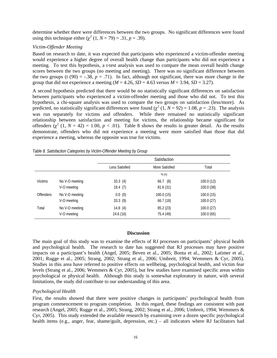determine whether there were differences between the two groups. No significant differences were found using this technique either  $(\chi^2 (1, N = 79) = .31, p = .39)$ .

## *Victim-Offender Meeting*

Based on research to date, it was expected that participants who experienced a victim-offender meeting would experience a higher degree of overall health change than participants who did not experience a meeting. To test this hypothesis, a t-test analysis was used to compare the mean overall health change scores between the two groups (no meeting and meeting). There was no significant difference between the two groups ( $t$  (90) = -.38,  $p = .71$ ). In fact, although not significant, there was more change in the group that did *not* experience a meeting  $(M = 4.26, SD = 4.63$  versus  $M = 3.94, SD = 3.27$ .

A second hypothesis predicted that there would be no statistically significant differences on satisfaction between participants who experienced a victim-offender meeting and those who did not. To test this hypothesis, a chi-square analysis was used to compare the two groups on satisfaction (less/more). As predicted, no statistically significant differences were found  $(\chi^2 (1, N = 92) = 1.08, p = .23)$ . The analysis was run separately for victims and offenders. While there remained no statistically significant relationship between satisfaction and meeting for victims, the relationship became significant for offenders  $\hat{\chi}^2$  (1,  $N = 42$ ) = 1.00,  $p < .01$ ). Table 8 shows the results in greater detail. As the results demonstrate, offenders who did not experience a meeting were more satisfied than those that did experience a meeting, whereas the opposite was true for victims.

|                  |                |                | Satisfaction   |           |  |  |  |
|------------------|----------------|----------------|----------------|-----------|--|--|--|
|                  |                | Less Satisfied | More Satisfied | Total     |  |  |  |
|                  |                |                | $%$ $(n)$      |           |  |  |  |
| <b>Victims</b>   | No V-O meeting | 33.3(4)        | $66.7$ $(8)$   | 100.0(12) |  |  |  |
|                  | V-O meeting    | 18.4(7)        | 81.6 (31)      | 100.0(38) |  |  |  |
| <b>Offenders</b> | No V-O meeting | 0.0(0)         | 100.0(15)      | 100.0(15) |  |  |  |
|                  | V-O meeting    | 33.3(9)        | 66.7(18)       | 100.0(27) |  |  |  |
| Total            | No V-O meeting | 14.8(4)        | 85.2(23)       | 100.0(27) |  |  |  |
|                  | V-O meeting    | 24.6 (16)      | 75.4 (49)      | 100.0(65) |  |  |  |

*Table 8. Satisfaction Categories by Victim-Offender Meeting by Group* 

#### **Discussion**

The main goal of this study was to examine the effects of RJ processes on participants' physical health and psychological health. The research to date has suggested that RJ processes may have positive impacts on a participant's health (Angel, 2005; Beven et al., 2005; Bonta et al., 2002; Latimer et al., 2001; Rugge et al., 2005; Strang, 2002; Strang et al., 2006; Umbreit, 1994; Wemmers & Cyr, 2005). Studies in this area have referred to positive effects on wellbeing, psychological health, and victim fear levels (Strang et al., 2006; Wemmers & Cyr, 2005), but few studies have examined specific areas within psychological or physical health. Although this study is somewhat exploratory in nature, with several limitations, the study did contribute to our understanding of this area.

## *Psychological Health*

First, the results showed that there were positive changes in participants' psychological health from program commencement to program completion. In this regard, these findings are consistent with past research (Angel, 2005; Rugge et al., 2005; Strang, 2002; Strang et al., 2006; Umbreit, 1994; Wemmers & Cyr, 2005). This study extended the available research by examining over a dozen specific psychological health items (e.g., anger, fear, shame/guilt, depression, etc.) – all indicators where RJ facilitators had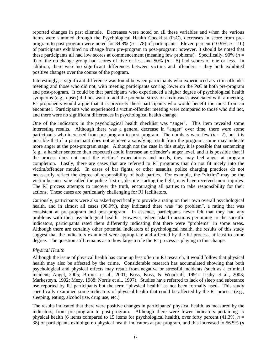reported changes in past clientele. Decreases were noted on all these variables and when the various items were summed through the Psychological Health Checklist (PsC), decreases in score from preprogram to post-program were noted for 84.8% ( $n = 78$ ) of participants. Eleven percent (10.9%;  $n = 10$ ) of participants exhibited no change from pre-program to post-program; however, it should be noted that these participants all had low scores at commencement (meaning few problems). Specifically, 90% (*n* = 9) of the no-change group had scores of five or less and 50%  $(n = 5)$  had scores of one or less. In addition, there were no significant differences between victims and offenders – they both exhibited positive changes over the course of the program.

Interestingly, a significant difference was found between participants who experienced a victim-offender meeting and those who did not, with meeting participants scoring lower on the PsC at both pre-program and post-program. It could be that participants who experienced a higher degree of psychological health symptoms (e.g., upset) did not want to add the potential stress or anxiousness associated with a meeting. RJ proponents would argue that it is precisely these participants who would benefit the most from an encounter. Participants who experienced a victim-offender meeting were compared to those who did not, and there were no significant differences in psychological health change.

One of the indicators in the psychological health checklist was "anger". This item revealed some interesting results. Although there was a general decrease in "anger" over time, there were some participants who increased from pre-program to post-program. The numbers were few  $(n = 2)$ , but it is possible that if a participant does not achieve a satisfying result from the program, some may indicate more anger at the post-program stage. Although not the case in this study, it is possible that sentencing (e.g., a harsher sentence than expected) could increase an offender's anger level, and it is possible that if the process does not meet the victims' expectations and needs, they may feel anger at program completion. Lastly, there are cases that are referred to RJ programs that do not fit nicely into the victim/offender mould. In cases of bar fights, or other assaults, police charging practices do not necessarily reflect the degree of responsibility of both parties. For example, the "victim" may be the victim because s/he called the police first or, despite starting the fight, may have received more injuries. The RJ process attempts to uncover the truth, encouraging all parties to take responsibility for their actions. These cases are particularly challenging for RJ facilitators.

Curiously, participants were also asked specifically to provide a rating on their own overall psychological health, and in almost all cases (98.9%), they indicated there was "no problem", a rating that was consistent at pre-program and post-program. In essence, participants never felt that they had any problems with their psychological health. However, when asked questions pertaining to the specific indicators, participants rated them differently indicating that there were "problems" in some areas. Although there are certainly other potential indicators of psychological health, the results of this study suggest that the indicators examined were appropriate and affected by the RJ process, at least to some degree. The question still remains as to how large a role the RJ process is playing in this change.

## *Physical Health*

Although the issue of physical health has come up less often in RJ research, it would follow that physical health may also be affected by the crime. Considerable research has accumulated showing that both psychological and physical effects may result from negative or stressful incidents (such as a criminal incident; Angel, 2005; Birmes et al., 2001; Koss, Koss, & Woodruff, 1991; Leahy et al., 2003; Markesteyn, 1992; Mezy, 1988; Norris et al., 1997). Studies have referred to lack of sleep and substance use reported by RJ participants but the term "physical health" as not been formally used. This study specifically examined some indicators of physical health that could be affected by the RJ process (e.g., sleeping, eating, alcohol use, drug use, etc.).

The results indicated that there were positive changes in participants' physical health, as measured by the indicators, from pre-program to post-program. Although there were fewer indicators pertaining to physical health (6 items compared to 15 items for psychological health), over forty percent (41.3%,  $n =$ 38) of participants exhibited no physical health indicators at pre-program, and this increased to 56.5% (*n*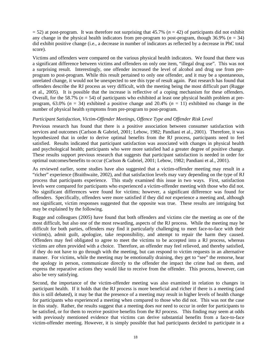$=$  52) at post-program. It was therefore not surprising that 45.7% ( $n = 42$ ) of participants did not exhibit any change in the physical health indicators from pre-program to post-program, though  $36.9\%$  ( $n = 34$ ) did exhibit positive change (i.e., a decrease in number of indicators as reflected by a decrease in PhC total score).

Victims and offenders were compared on the various physical health indicators. We found that there was a significant difference between victims and offenders on only one item, "illegal drug use". This was not a surprising result. Interestingly, one offender increased the level of alcohol and drug use from preprogram to post-program. While this result pertained to only one offender, and it may be a spontaneous, unrelated change, it would not be unexpected to see this type of result again. Past research has found that offenders describe the RJ process as very difficult, with the meeting being the most difficult part (Rugge et al., 2005). It is possible that the increase is reflective of a coping mechanism for these offenders. Overall, for the 58.7% ( $n = 54$ ) of participants who exhibited at least one physical health problem at preprogram, 63.0% ( $n = 34$ ) exhibited a positive change and 20.4% ( $n = 11$ ) exhibited no change in the number of physical health symptoms from pre-program to post-program.

## *Participant Satisfaction, Victim-Offender Meetings, Offence Type and Offender Risk Level*

Previous research has found that there is a positive association between consumer satisfaction with services and outcomes (Carlson & Gabriel, 2001; Lebow, 1982; Pandiani et al., 2001). Therefore, it was hypothesized that in order to derive optimal benefits from the RJ process, participants need to feel satisfied. Results indicated that participant satisfaction was associated with changes in physical health and psychological health; participants who were more satisfied had a greater degree of positive change. These results support previous research that suggests that participant satisfaction is needed in order for optimal outcomes/benefits to occur (Carlson & Gabriel, 2001; Lebow, 1982; Pandiani et al., 2001).

As reviewed earlier, some studies have also suggested that a victim-offender meeting may result in a "richer" experience (Braithwaite, 2002), and that satisfaction levels may vary depending on the type of RJ process that participants experience. This study examined this issue in two ways. First, satisfaction levels were compared for participants who experienced a victim-offender meeting with those who did not. No significant differences were found for victims; however, a significant difference was found for offenders. Specifically, offenders were more satisfied if they did *not* experience a meeting and, although not significant, victim responses suggested that the opposite was true. These results are intriguing but may be explained by the following.

Rugge and colleagues (2005) have found that both offenders and victims cite the meeting as one of the most difficult, but also one of the most rewarding, aspects of the RJ process. While the meeting may be difficult for both parties, offenders may find it particularly challenging to meet face-to-face with their victim(s), admit guilt, apologize, take responsibility, and attempt to repair the harm they caused. Offenders may feel obligated to agree to meet the victims to be accepted into a RJ process, whereas victims are often provided with a choice. Therefore, an offender may feel relieved, and thereby satisfied, if they do not have to go through with the meeting, but can respond to victim requests in an alternative manner. For victims, while the meeting may be emotionally draining, they get to "see" the remorse, hear the apology in person, communicate directly to the offender the impact the crime had on them, and express the reparative actions they would like to receive from the offender. This process, however, can also be very satisfying.

Second, the importance of the victim-offender meeting was also examined in relation to changes in participant health. If it holds that the RJ process is more beneficial and richer if there is a meeting (and this is still debated), it may be that the presence of a meeting may result in higher levels of health change for participants who experienced a meeting when compared to those who did not. This was not the case in this study. Rather, the results suggest that a meeting does *not* need to occur in order for participants to be satisfied, or for them to receive positive benefits from the RJ process. This finding may seem at odds with previously mentioned evidence that victims can derive substantial benefits from a face-to-face victim-offender meeting. However, it is simply possible that had participants decided to participate in a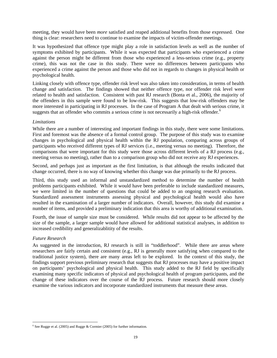meeting, they would have been *more* satisfied and reaped additional benefits from those expressed. One thing is clear: researchers need to continue to examine the impacts of victim-offender meetings.

It was hypothesized that offence type might play a role in satisfaction levels as well as the number of symptoms exhibited by participants. While it was expected that participants who experienced a crime against the person might be different from those who experienced a less-serious crime (e.g., property crime), this was not the case in this study. There were no differences between participants who experienced a crime against the person and those who did not in regards to changes in physical health or psychological health.

Linking closely with offence type, offender risk level was also taken into consideration, in terms of health change and satisfaction. The findings showed that neither offence type, nor offender risk level were related to health and satisfaction. Consistent with past RJ research (Bonta et al., 2006), the majority of the offenders in this sample were found to be low-risk. This suggests that low-risk offenders may be more interested in participating in RJ processes. In the case of Program A that dealt with serious crime, it suggests that an offender who commits a serious crime is not necessarily a high-risk offender.<sup>6</sup>

## *Limitations*

While there are a number of interesting and important findings in this study, there were some limitations. First and foremost was the absence of a formal control group. The purpose of this study was to examine changes in psychological and physical health within the RJ population, comparing across groups of participants who received different types of RJ services (i.e., meeting versus no meeting). Therefore, the comparisons that were important for this study were those across different levels of a RJ process (e.g., meeting versus no meeting), rather than to a comparison group who did not receive any RJ experiences.

Second, and perhaps just as important as the first limitation, is that although the results indicated that change occurred, there is no way of knowing whether this change was due primarily to the RJ process.

Third, this study used an informal and unstandardized method to determine the number of health problems participants exhibited. While it would have been preferable to include standardized measures, we were limited in the number of questions that could be added to an ongoing research evaluation. Standardized assessment instruments assessing physical and psychological health would also have resulted in the examination of a larger number of indicators. Overall, however, this study did examine a number of items, and provided a preliminary indication that this area is worthy of additional examination.

Fourth, the issue of sample size must be considered. While results did not appear to be affected by the size of the sample, a larger sample would have allowed for additional statistical analyses, in addition to increased credibility and generalizablitity of the results.

## *Future Research*

 $\overline{a}$ 

As suggested in the introduction, RJ research is still in "toddlerhood". While there are areas where researchers are fairly certain and consistent (e.g., RJ is generally more satisfying when compared to the traditional justice system), there are many areas left to be explored. In the context of this study, the findings support previous preliminary research that suggests that RJ processes may have a positive impact on participants' psychological and physical health. This study added to the RJ field by specifically examining many specific indicators of physical and psychological health of program participants, and the change of these indicators over the course of the RJ process. Future research should more closely examine the various indicators and incorporate standardized instruments that measure these areas.

 $6$  See Rugge et al. (2005) and Rugge & Cormier (2005) for further information.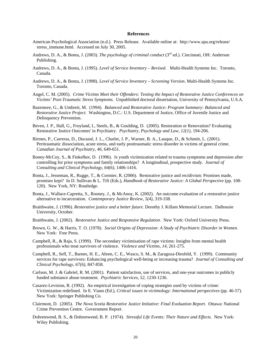#### **References**

- American Psychological Association (n.d.). Press Release. Available online at: http://www.apa.org/release/ stress\_immune.html. Accessed on July 30, 2005.
- Andrews, D. A., & Bonta, J. (2003). *The psychology of criminal conduct* (3rd ed.). Cincinnati, OH: Anderson Publishing.
- Andrews, D. A., & Bonta, J. (1995). *Level of Service Inventory Revised*. Multi-Health Systems Inc. Toronto, Canada.
- Andrews, D. A., & Bonta, J. (1998). *Level of Service Inventory Screening Version*. Multi-Health Systems Inc. Toronto, Canada.
- Angel, C. M. (2005). *Crime Victims Meet their Offenders: Testing the Impact of Restorative Justice Conferences on Victims' Post-Traumatic Stress Symptoms.* Unpublished doctoral dissertation, University of Pennsylvania, U.S.A.
- Bazemore, G., & Umbreit, M. (1994). *Balanced and Restorative Justice: Program Summary: Balanced and Restorative Justice Project.* Washington, D.C.: U.S. Department of Justice, Office of Juvenile Justice and Delinquency Prevention.
- Beven, J. P., Hall, G., Froyland, I., Steels, B., & Goulding, D. (2005). Restoration or Renovation? Evaluating Restorative Justice Outcomes' in Psychiatry. *Psychiatry, Psychology and Law, 12(1)*, 194-206.
- Birmes, P., Carreras, D., Ducassé, J. L., Charlet, J. P., Warner, B. A., Lauque, D., & Schmitt, L. (2001). Peritraumatic dissociation, acute stress, and early posttraumatic stress disorder in victims of general crime. *Canadian Journal of Psychiatry, 46,* 649-651.
- Boney-McCoy, S., & Finkelhor, D. (1996). Is youth victimization related to trauma symptoms and depression after controlling for prior symptoms and family relationships? A longitudinal, prospective study. *Journal of Consulting and Clinical Psychology, 64(6)*, 1406-1416.
- Bonta, J., Jesseman, R., Rugge, T., & Cormier, R. (2006). Restorative justice and recidivism: Promises made, promises kept? In D. Sullivan & L. Tift (Eds.), *Handbook of Restorative Justice: A Global Perspective* (pp. 108- 120). New York, NY: Routledge.
- Bonta, J., Wallace-Capretta, S., Rooney, J., & McAnoy, K. (2002). An outcome evaluation of a restorative justice alternative to incarceration. *Contemporary Justice Review, 5(4)*, 319-338.
- Braithwaite, J. (1996). *Restorative justice and a better future*. Dorothy J. Killam Memorial Lecture. Dalhousie University, October.
- Braithwaite, J. (2002). *Restorative Justice and Responsive Regulation*. New York: Oxford University Press.
- Brown, G. W., & Harris, T. O. (1978). *Social Origins of Depression: A Study of Psychiatric Disorder in Women.*  New York: Free Press.
- Campbell, R., & Raja, S. (1999). The secondary victimisation of rape victims: Insights from mental health professionals who treat survivors of violence. *Violence and Victims, 14,* 261-275.
- Campbell, R., Sefl, T., Barnes, H. E., Ahren, C. E., Wasco, S. M., & Zaragoza-Diesfeld, Y. (1999). Community services for rape survivors: Enhancing psychological well-being or increasing trauma? *Journal of Consulting and Clinical Psychology, 67(6),* 847-858.
- Carlson, M. J. & Gabriel, R. M. (2001). Patient satisfaction, use of services, and one-year outcomes in publicly funded substance abuse treatment. *Psychiatric Services, 52*, 1230-1236.
- Casarez-Levision, R. (1992). An empirical investigation of coping strategies used by victims of crime: Victimization redefined. In E. Viano (Ed.), *Critical issues in victimology: International perspectives* (pp. 46-57). New York: Springer Publishing Co.
- Clairmont, D. (2005). *The Nova Scotia Restorative Justice Initiative: Final Evaluation Report.* Ottawa: National Crime Prevention Centre. Government Report.
- Dohrenwend, B. S., & Dohrenwend, B. P. (1974). *Stressful Life Events: Their Nature and Effects.* New York: Wiley Publishing.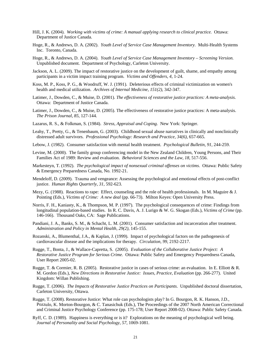- Hill, J. K. (2004). *Working with victims of crime: A manual applying research to clinical practice.* Ottawa: Department of Justice Canada.
- Hoge, R., & Andrews, D. A. (2002). *Youth Level of Service Case Management Inventory.* Multi-Health Systems Inc. Toronto, Canada.
- Hoge, R., & Andrews, D. A. (2004). *Youth Level of Service Case Management Inventory Screening Version.*  Unpublished document. Department of Psychology, Carleton University.
- Jackson, A. L. (2009). The impact of restorative justice on the development of guilt, shame, and empathy among participants in a victim impact training program. *Victims and Offenders, 4*, 1-24.
- Koss, M. P., Koss, P. G., & Woodruff, W. J. (1991). Deleterious effects of criminal victimization on women's health and medical utilization. *Archives of Internal Medicine, 151(2)*, 342-347.
- Latimer, J., Dowden, C., & Muise, D. (2001). *The effectiveness of restorative justice practices: A meta-analysis.*  Ottawa: Department of Justice Canada.
- Latimer, J., Dowden, C., & Muise, D. (2005). The effectiveness of restorative justice practices: A meta-analysis. *The Prison Journal, 85*, 127-144.
- Lazarus, R. S., & Folkman, S. (1984). *Stress, Appraisal and Coping.* New York: Springer.
- Leahy, T., Pretty, G., & Tenenbaum, G. (2003). Childhood sexual abuse narratives in clinically and nonclinically distressed adult survivors. *Professional Psychology: Research and Practice, 34(6),* 657-665.
- Lebow, J. (1982). Consumer satisfaction with mental health treatment. *Psychological Bulletin, 91*, 244-259.
- Levine, M. (2000). The family group conferencing model in the New Zealand Children, Young Persons, and Their Families Act of 1989: Review and evaluation. *Behavioral Sciences and the Law, 18*, 517-556.
- Markesteyn, T. (1992). *The psychological impact of nonsexual criminal offenses on victims*. Ottawa: Public Safety & Emergency Preparedness Canada, No. 1992-21.
- Mendeloff, D. (2009). Trauma and vengeance: Assessing the psychological and emotional effects of post-conflict justice. *Human Rights Quarterly, 31*, 592-623.
- Mezy, G. (1988). Reactions to rape: Effect, counseling and the role of health professionals. In M. Maguire & J. Pointing (Eds.), *Victims of Crime: A new deal* (pp. 66-73). Milton Keyes: Open University Press.
- Norris, F. H., Kaniasty, K., & Thompson, M. P. (1997). The psychological consequences of crime: Findings from longitudinal population-based studies. In R. C. Davis, A. J. Lurigo & W. G. Skogan (Eds.), *Victims of Crime* (pp. 146-166). Thousand Oaks, CA: Sage Publications.
- Pandiani, J. A., Banks, S. M., & Schacht, L. M. (2001). Consumer satisfaction and incarceration after treatment. *Administration and Policy in Mental Health, 29(2)*, 145-155.
- Rozanski, A., Blumenthal, J.A., & Kaplan, J. (1999). Impact of psychological factors on the pathogenesis of cardiovascular disease and the implications for therapy. *Circulation, 99*, 2192-2217.
- Rugge, T., Bonta, J., & Wallace-Capretta, S. (2005). *Evaluation of the Collaborative Justice Project: A Restorative Justice Program for Serious Crime.* Ottawa: Public Safety and Emergency Preparedness Canada, User Report 2005-02.
- Rugge, T. & Cormier, R. B. (2005). Restorative justice in cases of serious crime: an evaluation. In E. Elliott & R. M. Gordon (Eds.), *New Directions in Restorative Justice: Issues, Practice, Evaluation* (pp. 266-277). United Kingdom: Willan Publishing.
- Rugge, T. (2006). *The Impacts of Restorative Justice Practices on Participants*. Unpublished doctoral dissertation, Carleton University, Ottawa.
- Rugge, T. (2008). Restorative Justice: What role can psychologists play? In G. Bourgon, R. K. Hanson, J.D., Pozzulo, K. Morton-Bourgon, & C. Tanasichuk (Eds.), The Proceedings of the 2007 North American Correctional and Criminal Justice Psychology Conference (pp. 175-178; User Report 2008-02). Ottawa: Public Safety Canada.
- Ryff, C. D. (1989). Happiness is everything or is it? Explorations on the meaning of psychological well being. *Journal of Personality and Social Psychology, 57*, 1069-1081.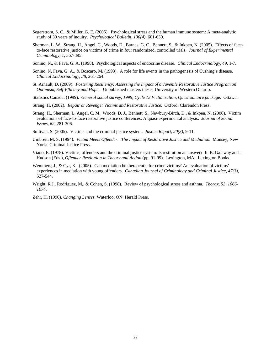- Segerstrom, S. C., & Miller, G. E. (2005). Psychological stress and the human immune system: A meta-analytic study of 30 years of inquiry. *Psychological Bulletin, 130(4)*, 601-630.
- Sherman, L .W., Strang, H., Angel, C., Woods, D., Barnes, G. C., Bennett, S., & Inkpen, N. (2005). Effects of faceto-face restorative justice on victims of crime in four randomized, controlled trials. *Journal of Experimental Criminology, 1*, 367-395.
- Sonino, N., & Fava, G. A. (1998). Psychological aspects of endocrine disease. *Clinical Endocrinology, 49*, 1-7.
- Sonino, N, Fava, G. A., & Boscaro, M. (1993). A role for life events in the pathogenesis of Cushing's disease. *Clinical Endocrinology, 38*, 261-264.
- St. Arnault, D. (2009). *Fostering Resiliency: Assessing the Impact of a Juvenile Restorative Justice Program on Optimism, Self-Efficacy and Hope..* Unpublished masters thesis, University of Western Ontario.
- Statistics Canada. (1999). *General social survey, 1999, Cycle 13 Victimization, Questionnaire package*. Ottawa.
- Strang, H. (2002). *Repair or Revenge: Victims and Restorative Justice*. Oxford: Clarendon Press.
- Strang, H., Sherman, L, Angel, C. M., Woods, D. J., Bennett, S., Newbury-Birch, D., & Inkpen, N. (2006). Victim evaluations of face-to-face restorative justice conferences: A quasi-experimental analysis. *Journal of Social Issues, 62*, 281-306.
- Sullivan, S. (2005). Victims and the criminal justice system. *Justice Report, 20(3)*, 9-11.
- Umbreit, M. S. (1994). *Victim Meets Offender: The Impact of Restorative Justice and Mediation.* Monsey, New York: Criminal Justice Press.
- Viano, E. (1978). Victims, offenders and the criminal justice system: Is restitution an answer? In B. Galaway and J. Hudson (Eds.), *Offender Restitution in Theory and Action* (pp. 91-99). Lexington, MA: Lexington Books.
- Wemmers, J., & Cyr, K. (2005). Can mediation be therapeutic for crime victims? An evaluation of victims' experiences in mediation with young offenders. *Canadian Journal of Criminology and Criminal Justice, 47(3),* 527-544.
- Wright, R.J., Rodriguez, M,. & Cohen, S. (1998). Review of psychological stress and asthma. *Thorax, 53, 1066- 1074*.
- Zehr, H. (1990). *Changing Lenses.* Waterloo, ON: Herald Press.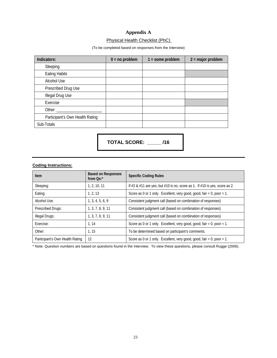# **Appendix A**

# Physical Health Checklist (PhC)

(To be completed based on responses from the Interview)

| Indicators:                     | $0 = no problem$ | $1 =$ some problem | $2 = major problem$ |
|---------------------------------|------------------|--------------------|---------------------|
| Sleeping                        |                  |                    |                     |
| <b>Eating Habits</b>            |                  |                    |                     |
| Alcohol Use                     |                  |                    |                     |
| Prescribed Drug Use             |                  |                    |                     |
| <b>Illegal Drug Use</b>         |                  |                    |                     |
| Exercise                        |                  |                    |                     |
| Other: $\_\_$                   |                  |                    |                     |
| Participant's Own Health Rating |                  |                    |                     |
| Sub-Totals                      |                  |                    |                     |

**TOTAL SCORE: \_\_\_\_\_ /16** 

# **Coding Instructions:**

| <b>Item</b>                     | <b>Based on Responses</b><br>from Os:* | <b>Specific Coding Rules</b>                                                     |
|---------------------------------|----------------------------------------|----------------------------------------------------------------------------------|
| Sleeping:                       | 1, 2, 10, 11                           | If $#2 & 411$ are yes, but $#10$ is no, score as 1. If $#10$ is yes, score as 2. |
| Eating:                         | 1, 2, 13                               | Score as 0 or 1 only. Excellent, very good, good, fair = 0, poor = 1.            |
| Alcohol Use:                    | 1, 3, 4, 5, 6, 9                       | Consistent judgment call (based on combination of responses)                     |
| Prescribed Drugs:               | 1, 3, 7, 8, 9, 11                      | Consistent judgment call (based on combination of responses)                     |
| <b>Illegal Drugs:</b>           | 1, 3, 7, 8, 9, 11                      | Consistent judgment call (based on combination of responses)                     |
| Exercise:                       | 1.14                                   | Score as 0 or 1 only. Excellent, very good, good, fair = 0, poor = 1.            |
| Other:                          | 1.15                                   | To be determined based on participant's comments.                                |
| Participant's Own Health Rating | 12                                     | Score as 0 or 1 only. Excellent, very good, good, fair = 0, poor = 1.            |

\* Note: Question numbers are based on questions found in the Interview. To view these questions, please consult Rugge (2006).